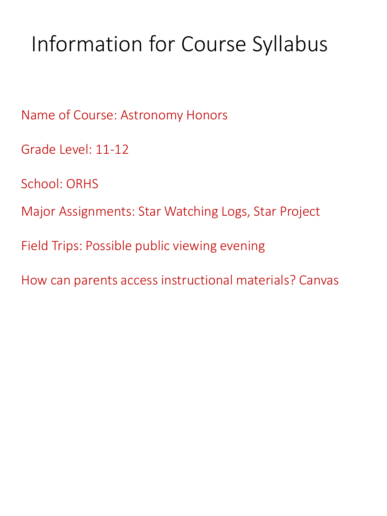# Information for Course Syllabus

Name of Course: Astronomy Honors

Grade Level: 11-12

School: ORHS

Major Assignments: Star Watching Logs, Star Project

Field Trips: Possible public viewing evening

How can parents access instructional materials? Canvas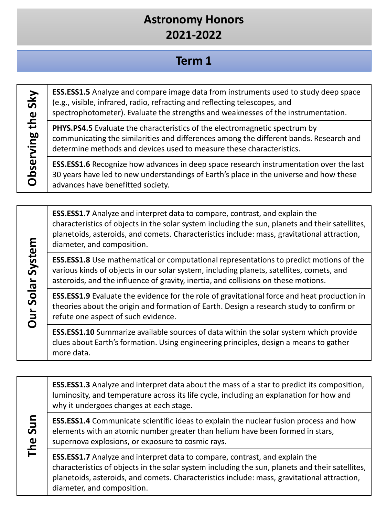### **Astronomy Honors 2021-2022**

## **Term 1**

Observing the Sky **Observing the Sky**

**Our Solar System**

**Our Solar System** 

**ESS.ESS1.5** Analyze and compare image data from instruments used to study deep space (e.g., visible, infrared, radio, refracting and reflecting telescopes, and spectrophotometer). Evaluate the strengths and weaknesses of the instrumentation.

**PHYS.PS4.5** Evaluate the characteristics of the electromagnetic spectrum by communicating the similarities and differences among the different bands. Research and determine methods and devices used to measure these characteristics.

**ESS.ESS1.6** Recognize how advances in deep space research instrumentation over the last 30 years have led to new understandings of Earth's place in the universe and how these advances have benefitted society.

**ESS.ESS1.7** Analyze and interpret data to compare, contrast, and explain the characteristics of objects in the solar system including the sun, planets and their satellites, planetoids, asteroids, and comets. Characteristics include: mass, gravitational attraction, diameter, and composition.

**ESS.ESS1.8** Use mathematical or computational representations to predict motions of the various kinds of objects in our solar system, including planets, satellites, comets, and asteroids, and the influence of gravity, inertia, and collisions on these motions.

**ESS.ESS1.9** Evaluate the evidence for the role of gravitational force and heat production in theories about the origin and formation of Earth. Design a research study to confirm or refute one aspect of such evidence.

**ESS.ESS1.10** Summarize available sources of data within the solar system which provide clues about Earth's formation. Using engineering principles, design a means to gather more data.

**The Sun ESS.ESS1.3** Analyze and interpret data about the mass of a star to predict its composition, luminosity, and temperature across its life cycle, including an explanation for how and why it undergoes changes at each stage. **ESS.ESS1.4** Communicate scientific ideas to explain the nuclear fusion process and how elements with an atomic number greater than helium have been formed in stars, supernova explosions, or exposure to cosmic rays. **ESS.ESS1.7** Analyze and interpret data to compare, contrast, and explain the characteristics of objects in the solar system including the sun, planets and their satellites, planetoids, asteroids, and comets. Characteristics include: mass, gravitational attraction, diameter, and composition.